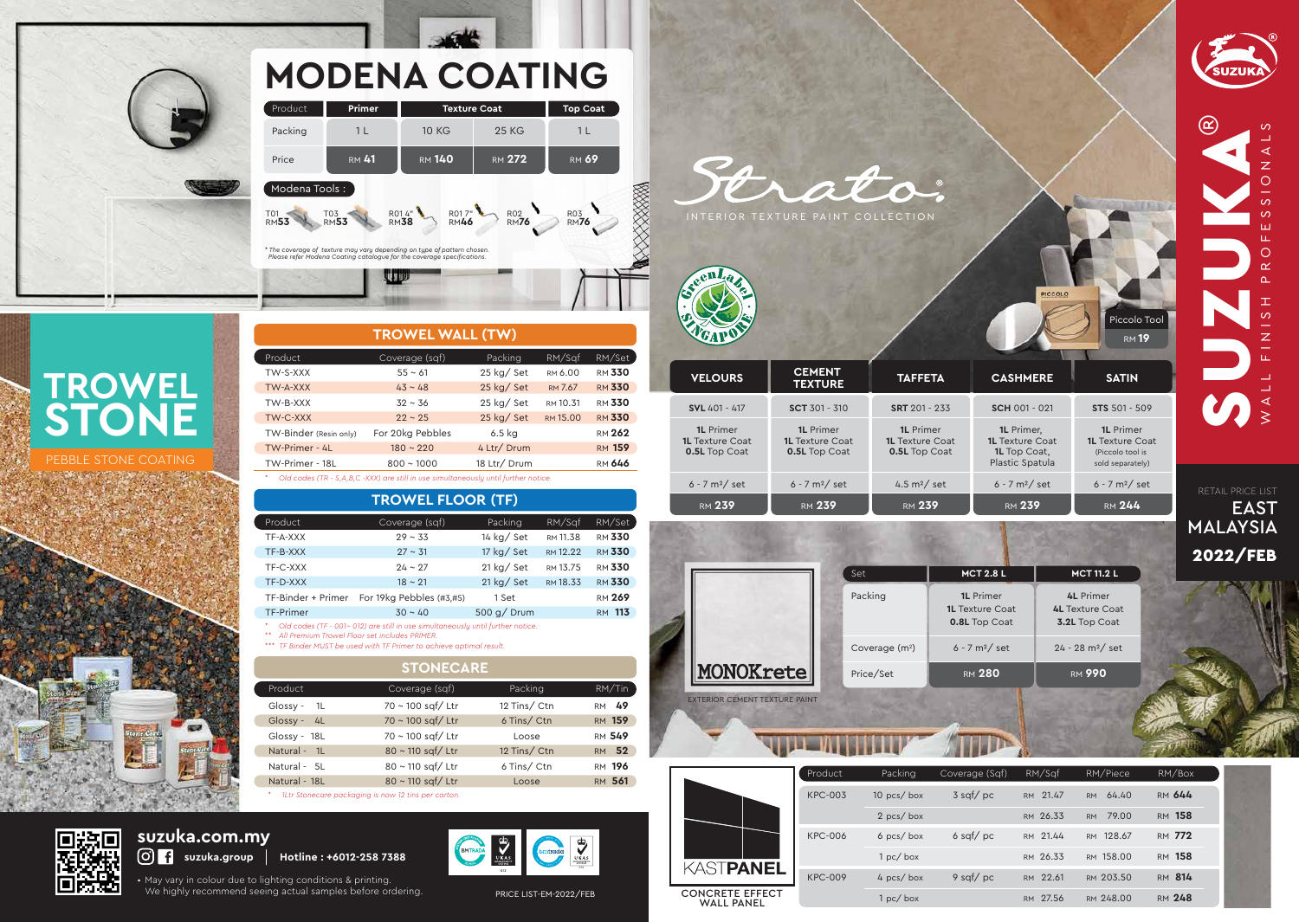

EAST

O

 $\circ$  $\underline{\alpha}$ 

 $\circ$ 

 $\mathsf Z$ 

 $\overline{M}$ 

|                                             | Product        | Packing      | Coverage (Sqf) | RM/Saf      | RM/Piece           | RM/Box        |  |
|---------------------------------------------|----------------|--------------|----------------|-------------|--------------------|---------------|--|
|                                             | <b>KPC-003</b> | 10 $pcs/box$ | $3$ sqf/pc     | RM 21.47    | 64.40<br><b>RM</b> | RM 644        |  |
|                                             |                | 2 pcs/box    |                | RM 26.33    | 79.00<br><b>RM</b> | RM 158        |  |
|                                             | <b>KPC-006</b> | $6$ pcs/box  | $6$ sqf/pc     | RM 21.44    | RM 128.67          | RM 772        |  |
|                                             |                | 1 pc / box   |                | RM 26.33    | RM 158.00          | RM 158        |  |
| KASTPANEL                                   | <b>KPC-009</b> | 4 pcs/box    | 9 sqf/ $pc$    | RM 22.61    | RM 203.50          | RM 814        |  |
| <b>CONCRETE EFFECT</b><br><b>WALL PANEL</b> |                | 1 pc / box   |                | 27.56<br>RM | RM 248.00          | <b>RM 248</b> |  |
|                                             |                |              |                |             |                    |               |  |

• May vary in colour due to lighting conditions & printing. We highly recommend seeing actual samples before ordering. PRICE LIST-EM-2022/FEB

## **suzuka.com.my**







 $\blacksquare$ 

**TROWEL WALL (TW)**

| Product                | Coverage (sqf)                                                                            | Packing      | RM/Sqf   | RM/Set        |
|------------------------|-------------------------------------------------------------------------------------------|--------------|----------|---------------|
| TW-S-XXX               | $55 \sim 61$                                                                              | 25 kg/ Set   | RM 6.00  | <b>RM 330</b> |
| TW-A-XXX               | $43 \sim 48$                                                                              | 25 kg/Set    | RM 7.67  | <b>RM 330</b> |
| TW-B-XXX               | $32 \sim 36$                                                                              | $25$ kg/ Set | RM 10.31 | <b>RM 330</b> |
| TW-C-XXX               | $22 \sim 25$                                                                              | $25$ kg/ Set | RM 15.00 | <b>RM 330</b> |
| TW-Binder (Resin only) | For 20kg Pebbles                                                                          | 6.5 kg       |          | <b>RM 262</b> |
| TW-Primer - 4L         | $180 \sim 220$                                                                            | 4 Ltr/ Drum  |          | <b>RM 159</b> |
| TW-Primer - 18L        | $800 \sim 1000$                                                                           | 18 Ltr/ Drum |          | <b>RM 646</b> |
|                        | Old codes (TR - $S \wedge R$ C -XXX) are still in use simultaneously until further notice |              |          |               |

#### *\* Old codes (TR - S,A,B,C -XXX) are still in use simultaneously until further notice.*

| Product            | Coverage (sqf)           | Packing       | RM/Sqf   | RM/Set        |
|--------------------|--------------------------|---------------|----------|---------------|
| TF-A-XXX           | $29 \sim 33$             | 14 kg/ Set    | RM 11.38 | <b>RM 330</b> |
| TF-B-XXX           | $27 \sim 31$             | 17 kg/ Set    | RM 12.22 | <b>RM 330</b> |
| TF-C-XXX           | $24 \sim 27$             | $21$ kg/ Set  | RM 13.75 | <b>RM 330</b> |
| TF-D-XXX           | $18 \sim 21$             | $21$ kg/ Set  | RM 18.33 | <b>RM 330</b> |
| TF-Binder + Primer | For 19kg Pebbles (#3,#5) | 1 Set         |          | <b>RM 269</b> |
| <b>TF-Primer</b>   | $30 \sim 40$             | $500$ g/ Drum |          | RM 113        |

#### **TROWEL FLOOR (TF)**

*\* Old codes (TF - 001~ 012) are still in use simultaneously until further notice.*

*\*\* All Premium Trowel Floor set includes PRIMER.*

*\*\*\* TF Binder MUST be used with TF Primer to achieve optimal result.*

| Product       | Coverage (sqf)         | Packing      | RM/Tin        |
|---------------|------------------------|--------------|---------------|
| Glossy - $1L$ | 70 ~ 100 sqf/ Ltr      | 12 Tins/Ctn  | RM 49         |
| $Glossy - 4L$ | $70 \sim 100$ sqf/ Ltr | 6 Tins/Ctn   | <b>RM 159</b> |
| Glossy - 18L  | 70 ~ 100 sqf/ Ltr      | Loose        | <b>RM 549</b> |
| Natural - 1L  | 80 ~ 110 sqf/ Ltr      | 12 Tins/ Ctn | RM 52         |
| Natural - 5L  | 80 ~ 110 sqf/ Ltr      | 6 Tins/Ctn   | RM 196        |
| Natural - 18L | 80 ~ 110 sqf/ Ltr      | Loose        | RM 561        |
|               |                        |              |               |

#### **STONECARE**

*\* 1Ltr Stonecare packaging is now 12 tins per carton.*



## **TROWEL STONE**

#### PEBBLE STONE COATING



# **MODENA COATING**

| <b>Primer</b>                                                                                                                                     |               |                                | <b>Top Coat</b>              |  |  |  |  |  |
|---------------------------------------------------------------------------------------------------------------------------------------------------|---------------|--------------------------------|------------------------------|--|--|--|--|--|
| 1 L                                                                                                                                               | <b>10 KG</b>  | <b>25 KG</b>                   | 1 L                          |  |  |  |  |  |
| <b>RM 41</b>                                                                                                                                      | <b>RM 140</b> | <b>RM 272</b>                  | <b>RM 69</b>                 |  |  |  |  |  |
| Modena Tools:                                                                                                                                     |               |                                |                              |  |  |  |  |  |
| T03<br><b>RM53</b>                                                                                                                                |               | <b>R02</b><br>RM <sub>76</sub> | R03<br>RM <b>76</b>          |  |  |  |  |  |
| * The coverage of texture may vary depending on type of pattern chosen.<br>Please refer Modena Coating catalogue for the coverage specifications. |               |                                |                              |  |  |  |  |  |
|                                                                                                                                                   |               |                                |                              |  |  |  |  |  |
|                                                                                                                                                   |               | R014"<br>RM <b>38</b>          | <b>Texture Coat</b><br>R017" |  |  |  |  |  |

| <b>VELOURS</b>                                                     | <b>CEMENT</b><br><b>TEXTURE</b>                                    | <b>TAFFETA</b>                                                     |
|--------------------------------------------------------------------|--------------------------------------------------------------------|--------------------------------------------------------------------|
| SVL 401 - 417                                                      | $SCT 301 - 310$                                                    | SRT 201 - 233                                                      |
| <b>1L</b> Primer<br><b>1L</b> Texture Coat<br><b>0.5L</b> Top Coat | <b>1L</b> Primer<br><b>1L</b> Texture Coat<br><b>0.5L</b> Top Coat | <b>1L</b> Primer<br><b>1L</b> Texture Coat<br><b>0.5L</b> Top Coat |
| $6 - 7$ m <sup>2</sup> / set                                       | $6 - 7$ m <sup>2</sup> / set                                       | 4.5 $m^2$ / set                                                    |
| <b>RM 239</b>                                                      | <b>RM 239</b>                                                      | <b>RM 239</b>                                                      |